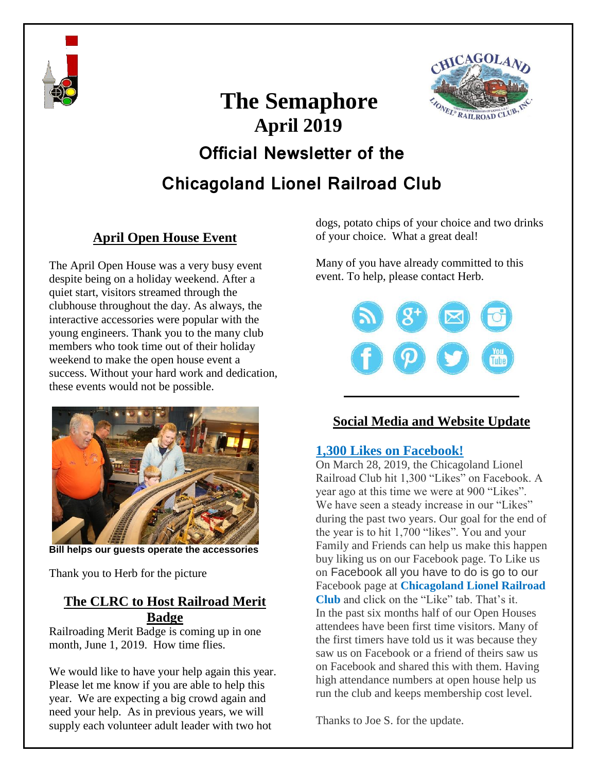



# **The Semaphore April 2019 Official Newsletter of the Chicagoland Lionel Railroad Club**

# **April Open House Event**

The April Open House was a very busy event despite being on a holiday weekend. After a quiet start, visitors streamed through the clubhouse throughout the day. As always, the interactive accessories were popular with the young engineers. Thank you to the many club members who took time out of their holiday weekend to make the open house event a success. Without your hard work and dedication, these events would not be possible.



**Bill helps our guests operate the accessories**

Thank you to Herb for the picture

#### **The CLRC to Host Railroad Merit Badge**

Railroading Merit Badge is coming up in one month, June 1, 2019. How time flies.

We would like to have your help again this year. Please let me know if you are able to help this year. We are expecting a big crowd again and need your help. As in previous years, we will supply each volunteer adult leader with two hot

dogs, potato chips of your choice and two drinks of your choice. What a great deal!

Many of you have already committed to this event. To help, please contact Herb.



### **Social Media and Website Update**

#### **1,300 Likes on Facebook!**

On March 28, 2019, the Chicagoland Lionel Railroad Club hit 1,300 "Likes" on Facebook. A year ago at this time we were at 900 "Likes". We have seen a steady increase in our "Likes" during the past two years. Our goal for the end of the year is to hit 1,700 "likes". You and your Family and Friends can help us make this happen buy liking us on our Facebook page. To Like us on Facebook all you have to do is go to our Facebook page at **Chicagoland Lionel Railroad Club** and click on the "Like" tab. That's it. In the past six months half of our Open Houses attendees have been first time visitors. Many of the first timers have told us it was because they saw us on Facebook or a friend of theirs saw us on Facebook and shared this with them. Having high attendance numbers at open house help us run the club and keeps membership cost level.

Thanks to Joe S. for the update.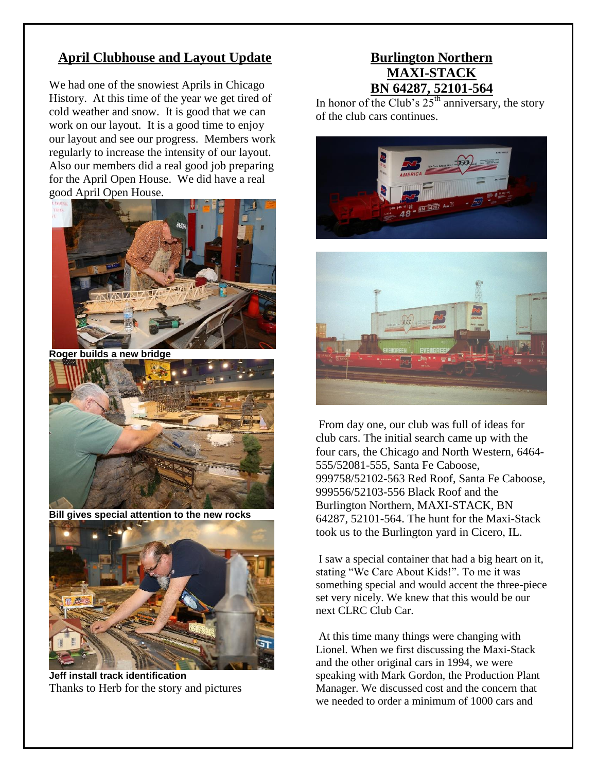#### **April Clubhouse and Layout Update**

We had one of the snowiest Aprils in Chicago History. At this time of the year we get tired of cold weather and snow. It is good that we can work on our layout. It is a good time to enjoy our layout and see our progress. Members work regularly to increase the intensity of our layout. Also our members did a real good job preparing for the April Open House. We did have a real good April Open House.



**Roger builds a new bridge**



**Bill gives special attention to the new rocks**



**Jeff install track identification** Thanks to Herb for the story and pictures

#### **Burlington Northern MAXI-STACK BN 64287, 52101-564**

In honor of the Club's  $25<sup>th</sup>$  anniversary, the story of the club cars continues.





From day one, our club was full of ideas for club cars. The initial search came up with the four cars, the Chicago and North Western, 6464- 555/52081-555, Santa Fe Caboose, 999758/52102-563 Red Roof, Santa Fe Caboose, 999556/52103-556 Black Roof and the Burlington Northern, MAXI-STACK, BN 64287, 52101-564. The hunt for the Maxi-Stack took us to the Burlington yard in Cicero, IL.

I saw a special container that had a big heart on it, stating "We Care About Kids!". To me it was something special and would accent the three-piece set very nicely. We knew that this would be our next CLRC Club Car.

At this time many things were changing with Lionel. When we first discussing the Maxi-Stack and the other original cars in 1994, we were speaking with Mark Gordon, the Production Plant Manager. We discussed cost and the concern that we needed to order a minimum of 1000 cars and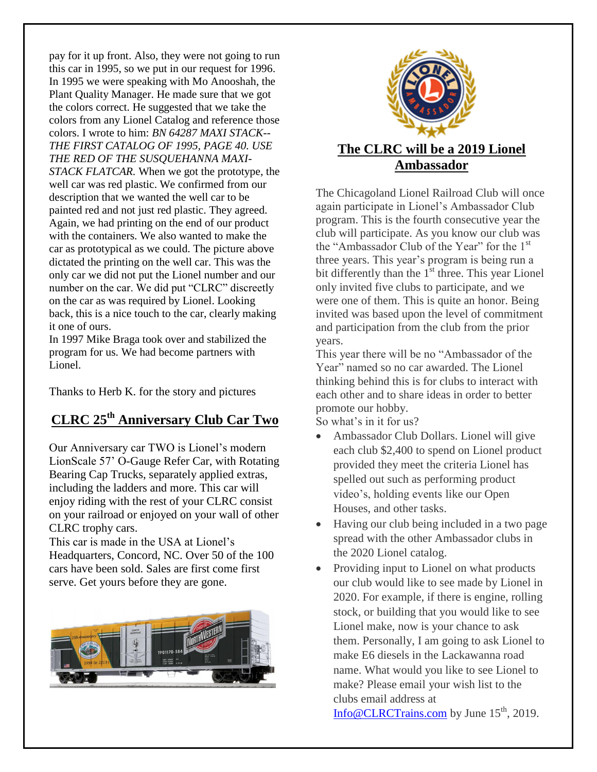pay for it up front. Also, they were not going to run this car in 1995, so we put in our request for 1996. In 1995 we were speaking with Mo Anooshah, the Plant Quality Manager. He made sure that we got the colors correct. He suggested that we take the colors from any Lionel Catalog and reference those colors. I wrote to him: *BN 64287 MAXI STACK-- THE FIRST CATALOG OF 1995, PAGE 40. USE THE RED OF THE SUSQUEHANNA MAXI-STACK FLATCAR.* When we got the prototype, the well car was red plastic. We confirmed from our description that we wanted the well car to be painted red and not just red plastic. They agreed. Again, we had printing on the end of our product with the containers. We also wanted to make the car as prototypical as we could. The picture above dictated the printing on the well car. This was the only car we did not put the Lionel number and our number on the car. We did put "CLRC" discreetly on the car as was required by Lionel. Looking back, this is a nice touch to the car, clearly making it one of ours.

In 1997 Mike Braga took over and stabilized the program for us. We had become partners with Lionel.

Thanks to Herb K. for the story and pictures

## **CLRC 25th Anniversary Club Car Two**

Our Anniversary car TWO is Lionel's modern LionScale 57' O-Gauge Refer Car, with Rotating Bearing Cap Trucks, separately applied extras, including the ladders and more. This car will enjoy riding with the rest of your CLRC consist on your railroad or enjoyed on your wall of other CLRC trophy cars.

This car is made in the USA at Lionel's Headquarters, Concord, NC. Over 50 of the 100 cars have been sold. Sales are first come first serve. Get yours before they are gone.





# **Ambassador**

The Chicagoland Lionel Railroad Club will once again participate in Lionel's Ambassador Club program. This is the fourth consecutive year the club will participate. As you know our club was the "Ambassador Club of the Year" for the 1<sup>st</sup> three years. This year's program is being run a bit differently than the  $1<sup>st</sup>$  three. This year Lionel only invited five clubs to participate, and we were one of them. This is quite an honor. Being invited was based upon the level of commitment and participation from the club from the prior years.

This year there will be no "Ambassador of the Year" named so no car awarded. The Lionel thinking behind this is for clubs to interact with each other and to share ideas in order to better promote our hobby.

So what's in it for us?

- Ambassador Club Dollars. Lionel will give each club \$2,400 to spend on Lionel product provided they meet the criteria Lionel has spelled out such as performing product video's, holding events like our Open Houses, and other tasks.
- Having our club being included in a two page spread with the other Ambassador clubs in the 2020 Lionel catalog.
- Providing input to Lionel on what products our club would like to see made by Lionel in 2020. For example, if there is engine, rolling stock, or building that you would like to see Lionel make, now is your chance to ask them. Personally, I am going to ask Lionel to make E6 diesels in the Lackawanna road name. What would you like to see Lionel to make? Please email your wish list to the clubs email address at

[Info@CLRCTrains.com](mailto:Info@CLRCTrains.com) by June  $15<sup>th</sup>$ , 2019.